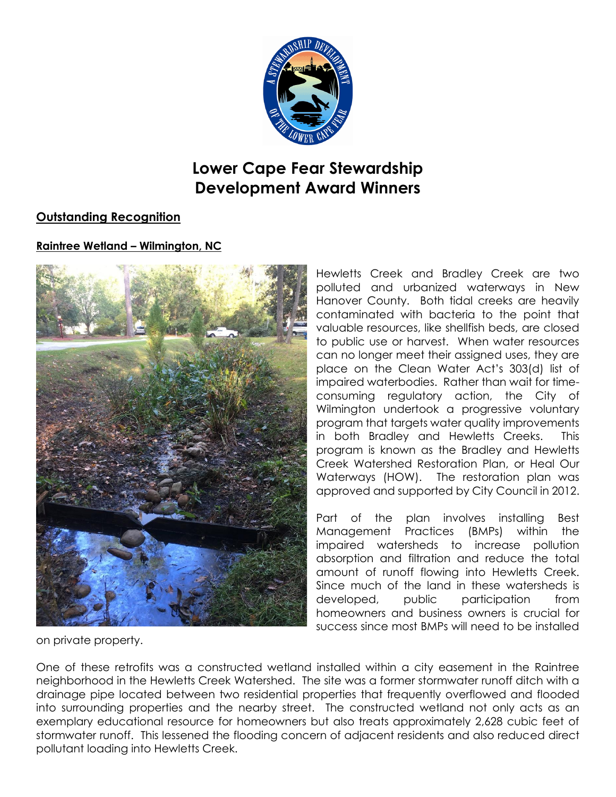

# **Lower Cape Fear Stewardship Development Award Winners**

# **Outstanding Recognition**

## **Raintree Wetland – Wilmington, NC**



Hewletts Creek and Bradley Creek are two polluted and urbanized waterways in New Hanover County. Both tidal creeks are heavily contaminated with bacteria to the point that valuable resources, like shellfish beds, are closed to public use or harvest. When water resources can no longer meet their assigned uses, they are place on the Clean Water Act's 303(d) list of impaired waterbodies. Rather than wait for timeconsuming regulatory action, the City of Wilmington undertook a progressive voluntary program that targets water quality improvements in both Bradley and Hewletts Creeks. This program is known as the Bradley and Hewletts Creek Watershed Restoration Plan, or Heal Our Waterways (HOW). The restoration plan was approved and supported by City Council in 2012.

Part of the plan involves installing Best Management Practices (BMPs) within the impaired watersheds to increase pollution absorption and filtration and reduce the total amount of runoff flowing into Hewletts Creek. Since much of the land in these watersheds is developed, public participation from homeowners and business owners is crucial for success since most BMPs will need to be installed

on private property.

One of these retrofits was a constructed wetland installed within a city easement in the Raintree neighborhood in the Hewletts Creek Watershed. The site was a former stormwater runoff ditch with a drainage pipe located between two residential properties that frequently overflowed and flooded into surrounding properties and the nearby street. The constructed wetland not only acts as an exemplary educational resource for homeowners but also treats approximately 2,628 cubic feet of stormwater runoff. This lessened the flooding concern of adjacent residents and also reduced direct pollutant loading into Hewletts Creek.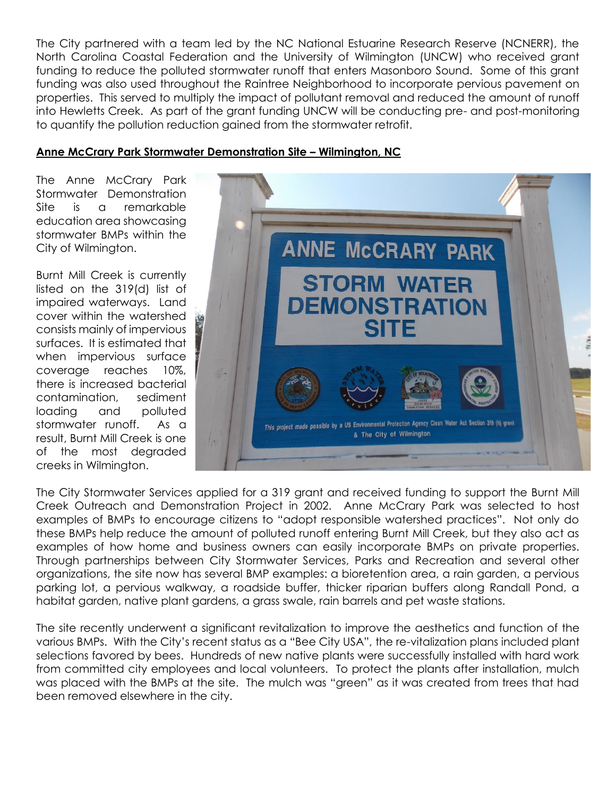The City partnered with a team led by the NC National Estuarine Research Reserve (NCNERR), the North Carolina Coastal Federation and the University of Wilmington (UNCW) who received grant funding to reduce the polluted stormwater runoff that enters Masonboro Sound. Some of this grant funding was also used throughout the Raintree Neighborhood to incorporate pervious pavement on properties. This served to multiply the impact of pollutant removal and reduced the amount of runoff into Hewletts Creek. As part of the grant funding UNCW will be conducting pre- and post-monitoring to quantify the pollution reduction gained from the stormwater retrofit.

#### **Anne McCrary Park Stormwater Demonstration Site – Wilmington, NC**

The Anne McCrary Park Stormwater Demonstration Site is a remarkable education area showcasing stormwater BMPs within the City of Wilmington.

Burnt Mill Creek is currently listed on the 319(d) list of impaired waterways. Land cover within the watershed consists mainly of impervious surfaces. It is estimated that when impervious surface coverage reaches 10%, there is increased bacterial contamination, sediment loading and polluted stormwater runoff. As a result, Burnt Mill Creek is one of the most degraded creeks in Wilmington.



The City Stormwater Services applied for a 319 grant and received funding to support the Burnt Mill Creek Outreach and Demonstration Project in 2002. Anne McCrary Park was selected to host examples of BMPs to encourage citizens to "adopt responsible watershed practices". Not only do these BMPs help reduce the amount of polluted runoff entering Burnt Mill Creek, but they also act as examples of how home and business owners can easily incorporate BMPs on private properties. Through partnerships between City Stormwater Services, Parks and Recreation and several other organizations, the site now has several BMP examples: a bioretention area, a rain garden, a pervious parking lot, a pervious walkway, a roadside buffer, thicker riparian buffers along Randall Pond, a habitat garden, native plant gardens, a grass swale, rain barrels and pet waste stations.

The site recently underwent a significant revitalization to improve the aesthetics and function of the various BMPs. With the City's recent status as a "Bee City USA", the re-vitalization plans included plant selections favored by bees. Hundreds of new native plants were successfully installed with hard work from committed city employees and local volunteers. To protect the plants after installation, mulch was placed with the BMPs at the site. The mulch was "green" as it was created from trees that had been removed elsewhere in the city.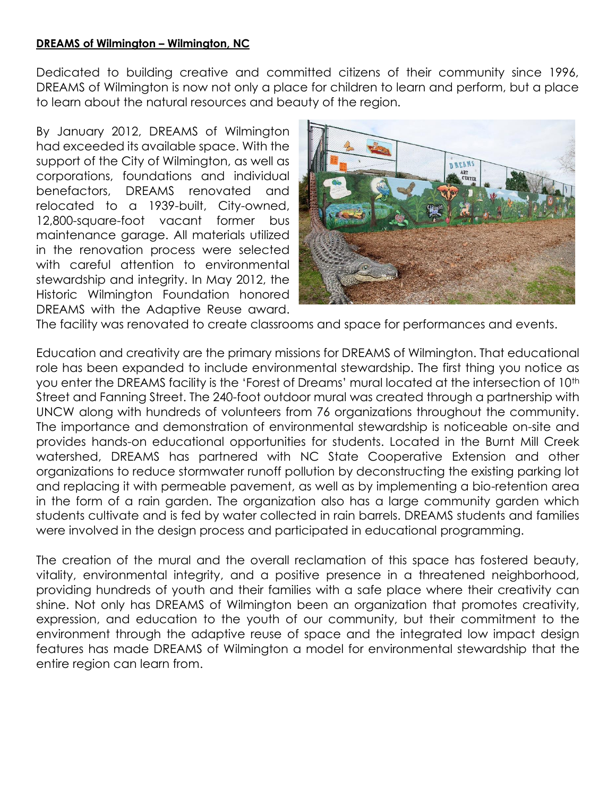#### **DREAMS of Wilmington – Wilmington, NC**

Dedicated to building creative and committed citizens of their community since 1996, DREAMS of Wilmington is now not only a place for children to learn and perform, but a place to learn about the natural resources and beauty of the region.

By January 2012, DREAMS of Wilmington had exceeded its available space. With the support of the City of Wilmington, as well as corporations, foundations and individual benefactors, DREAMS renovated and relocated to a 1939-built, City-owned, 12,800-square-foot vacant former bus maintenance garage. All materials utilized in the renovation process were selected with careful attention to environmental stewardship and integrity. In May 2012, the Historic Wilmington Foundation honored DREAMS with the Adaptive Reuse award.



The facility was renovated to create classrooms and space for performances and events.

Education and creativity are the primary missions for DREAMS of Wilmington. That educational role has been expanded to include environmental stewardship. The first thing you notice as you enter the DREAMS facility is the 'Forest of Dreams' mural located at the intersection of 10<sup>th</sup> Street and Fanning Street. The 240-foot outdoor mural was created through a partnership with UNCW along with hundreds of volunteers from 76 organizations throughout the community. The importance and demonstration of environmental stewardship is noticeable on-site and provides hands-on educational opportunities for students. Located in the Burnt Mill Creek watershed, DREAMS has partnered with NC State Cooperative Extension and other organizations to reduce stormwater runoff pollution by deconstructing the existing parking lot and replacing it with permeable pavement, as well as by implementing a bio-retention area in the form of a rain garden. The organization also has a large community garden which students cultivate and is fed by water collected in rain barrels. DREAMS students and families were involved in the design process and participated in educational programming.

The creation of the mural and the overall reclamation of this space has fostered beauty, vitality, environmental integrity, and a positive presence in a threatened neighborhood, providing hundreds of youth and their families with a safe place where their creativity can shine. Not only has DREAMS of Wilmington been an organization that promotes creativity, expression, and education to the youth of our community, but their commitment to the environment through the adaptive reuse of space and the integrated low impact design features has made DREAMS of Wilmington a model for environmental stewardship that the entire region can learn from.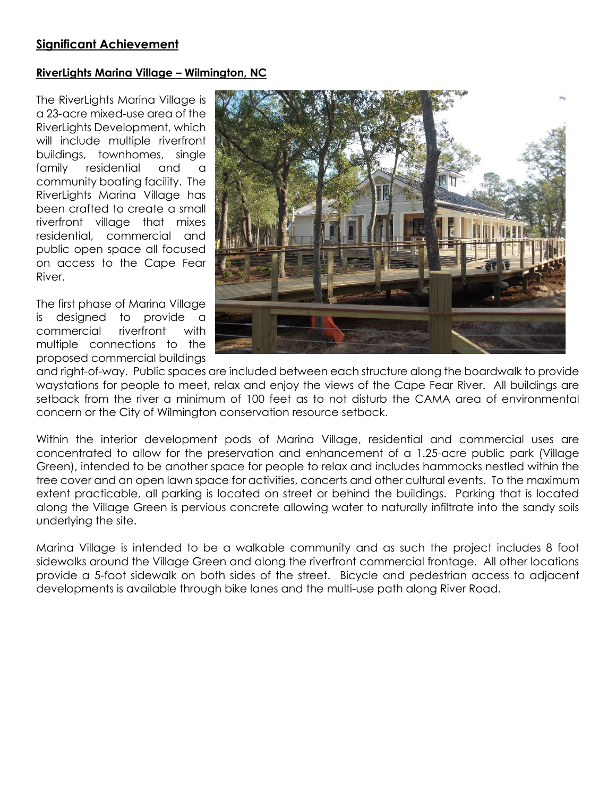#### **Significant Achievement**

#### **RiverLights Marina Village – Wilmington, NC**

The RiverLights Marina Village is a 23-acre mixed-use area of the RiverLights Development, which will include multiple riverfront buildings, townhomes, single family residential and a community boating facility. The RiverLights Marina Village has been crafted to create a small riverfront village that mixes residential, commercial and public open space all focused on access to the Cape Fear River.

The first phase of Marina Village is designed to provide a commercial riverfront with multiple connections to the proposed commercial buildings



and right-of-way. Public spaces are included between each structure along the boardwalk to provide waystations for people to meet, relax and enjoy the views of the Cape Fear River. All buildings are setback from the river a minimum of 100 feet as to not disturb the CAMA area of environmental concern or the City of Wilmington conservation resource setback.

Within the interior development pods of Marina Village, residential and commercial uses are concentrated to allow for the preservation and enhancement of a 1.25-acre public park (Village Green), intended to be another space for people to relax and includes hammocks nestled within the tree cover and an open lawn space for activities, concerts and other cultural events. To the maximum extent practicable, all parking is located on street or behind the buildings. Parking that is located along the Village Green is pervious concrete allowing water to naturally infiltrate into the sandy soils underlying the site.

Marina Village is intended to be a walkable community and as such the project includes 8 foot sidewalks around the Village Green and along the riverfront commercial frontage. All other locations provide a 5-foot sidewalk on both sides of the street. Bicycle and pedestrian access to adjacent developments is available through bike lanes and the multi-use path along River Road.